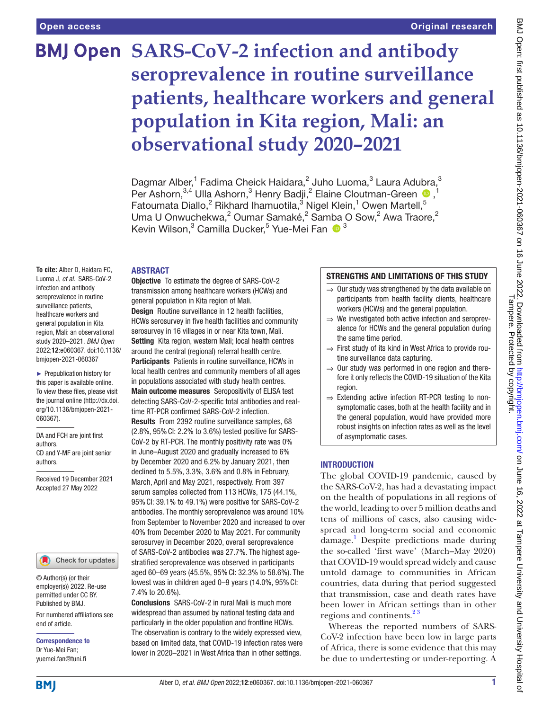# **BMJ Open SARS-CoV-2 infection and antibody seroprevalence in routine surveillance patients, healthcare workers and general population in Kita region, Mali: an observational study 2020–2021**

Dagmar Alber,<sup>1</sup> Fadima Cheick Haidara,<sup>2</sup> Juho Luoma,<sup>3</sup> Laura Adubra,<sup>3</sup> PerAshorn,<sup>3,4</sup> Ulla Ashorn,<sup>3</sup> Henry Badji,<sup>2</sup> Elaine Cloutman-Green <sup>1</sup> Fatoumata Diallo,<sup>2</sup> Rikhard Ihamuotila,<sup>3</sup> Nigel Klein,<sup>1</sup> Owen Martell,<sup>5</sup> Uma U Onwuchekwa,<sup>2</sup> Oumar Samaké,<sup>2</sup> Samba O Sow,<sup>2</sup> Awa Traore,<sup>2</sup> Kevin Wilson,<sup>3</sup> Camilla Ducker,<sup>5</sup> Yue-Mei Fan O<sup>3</sup>

## ABSTRACT

**To cite:** Alber D, Haidara FC, Luoma J, *et al*. SARS-CoV-2 infection and antibody seroprevalence in routine surveillance patients, healthcare workers and general population in Kita region, Mali: an observational study 2020–2021. *BMJ Open* 2022;12:e060367. doi:10.1136/ bmjopen-2021-060367

► Prepublication history for this paper is available online. To view these files, please visit the journal online [\(http://dx.doi.](http://dx.doi.org/10.1136/bmjopen-2021-060367) [org/10.1136/bmjopen-2021-](http://dx.doi.org/10.1136/bmjopen-2021-060367) [060367\)](http://dx.doi.org/10.1136/bmjopen-2021-060367).

DA and FCH are joint first authors. CD and Y-MF are joint senior authors.

Received 19 December 2021 Accepted 27 May 2022

## Check for updates

© Author(s) (or their employer(s)) 2022. Re-use permitted under CC BY. Published by BMJ.

For numbered affiliations see end of article.

Correspondence to Dr Yue-Mei Fan; yuemei.fan@tuni.fi

Objective To estimate the degree of SARS-CoV-2 transmission among healthcare workers (HCWs) and general population in Kita region of Mali. Design Routine surveillance in 12 health facilities,

HCWs serosurvey in five health facilities and community serosurvey in 16 villages in or near Kita town, Mali. Setting Kita region, western Mali; local health centres around the central (regional) referral health centre. Participants Patients in routine surveillance, HCWs in

local health centres and community members of all ages in populations associated with study health centres. Main outcome measures Seropositivity of ELISA test detecting SARS-CoV-2-specific total antibodies and realtime RT-PCR confirmed SARS-CoV-2 infection.

Results From 2392 routine surveillance samples, 68 (2.8%, 95%CI: 2.2% to 3.6%) tested positive for SARS-CoV-2 by RT-PCR. The monthly positivity rate was 0% in June–August 2020 and gradually increased to 6% by December 2020 and 6.2% by January 2021, then declined to 5.5%, 3.3%, 3.6% and 0.8% in February, March, April and May 2021, respectively. From 397 serum samples collected from 113 HCWs, 175 (44.1%, 95%CI: 39.1% to 49.1%) were positive for SARS-CoV-2 antibodies. The monthly seroprevalence was around 10% from September to November 2020 and increased to over 40% from December 2020 to May 2021. For community serosurvey in December 2020, overall seroprevalence of SARS-CoV-2 antibodies was 27.7%. The highest agestratified seroprevalence was observed in participants aged 60–69 years (45.5%, 95%CI: 32.3% to 58.6%). The lowest was in children aged 0-9 years (14.0%, 95% CI: 7.4% to 20.6%).

Conclusions SARS-CoV-2 in rural Mali is much more widespread than assumed by national testing data and particularly in the older population and frontline HCWs. The observation is contrary to the widely expressed view, based on limited data, that COVID-19 infection rates were lower in 2020–2021 in West Africa than in other settings.

## STRENGTHS AND LIMITATIONS OF THIS STUDY

- ⇒ Our study was strengthened by the data available on participants from health facility clients, healthcare workers (HCWs) and the general population.
- $\Rightarrow$  We investigated both active infection and seroprevalence for HCWs and the general population during the same time period.
- ⇒ First study of its kind in West Africa to provide routine surveillance data capturing.
- ⇒ Our study was performed in one region and therefore it only reflects the COVID-19 situation of the Kita region.
- $\Rightarrow$  Extending active infection RT-PCR testing to nonsymptomatic cases, both at the health facility and in the general population, would have provided more robust insights on infection rates as well as the level of asymptomatic cases.

## **INTRODUCTION**

The global COVID-19 pandemic, caused by the SARS-CoV-2, has had a devastating impact on the health of populations in all regions of the world, leading to over 5 million deaths and tens of millions of cases, also causing widespread and long-term social and economic damage[.1](#page-5-0) Despite predictions made during the so-called 'first wave' (March–May 2020) that COVID-19 would spread widely and cause untold damage to communities in African countries, data during that period suggested that transmission, case and death rates have been lower in African settings than in other regions and continents.<sup>23</sup>

Whereas the reported numbers of SARS-CoV-2 infection have been low in large parts of Africa, there is some evidence that this may be due to undertesting or under-reporting. A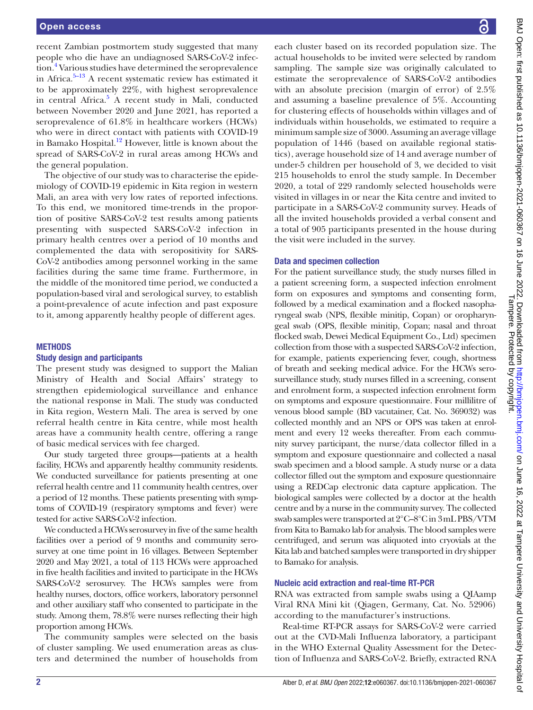recent Zambian postmortem study suggested that many people who die have an undiagnosed SARS-CoV-2 infec-tion.<sup>[4](#page-5-2)</sup> Various studies have determined the seroprevalence in Africa. $5-13$  A recent systematic review has estimated it to be approximately 22%, with highest seroprevalence in central Africa.<sup>[5](#page-5-3)</sup> A recent study in Mali, conducted between November 2020 and June 2021, has reported a seroprevalence of 61.8% in healthcare workers (HCWs) who were in direct contact with patients with COVID-19 in Bamako Hospital.<sup>12</sup> However, little is known about the spread of SARS-CoV-2 in rural areas among HCWs and the general population.

The objective of our study was to characterise the epidemiology of COVID-19 epidemic in Kita region in western Mali, an area with very low rates of reported infections. To this end, we monitored time-trends in the proportion of positive SARS-CoV-2 test results among patients presenting with suspected SARS-CoV-2 infection in primary health centres over a period of 10 months and complemented the data with seropositivity for SARS-CoV-2 antibodies among personnel working in the same facilities during the same time frame. Furthermore, in the middle of the monitored time period, we conducted a population-based viral and serological survey, to establish a point-prevalence of acute infection and past exposure to it, among apparently healthy people of different ages.

#### **METHODS**

## Study design and participants

The present study was designed to support the Malian Ministry of Health and Social Affairs' strategy to strengthen epidemiological surveillance and enhance the national response in Mali. The study was conducted in Kita region, Western Mali. The area is served by one referral health centre in Kita centre, while most health areas have a community health centre, offering a range of basic medical services with fee charged.

Our study targeted three groups—patients at a health facility, HCWs and apparently healthy community residents. We conducted surveillance for patients presenting at one referral health centre and 11 community health centres, over a period of 12 months. These patients presenting with symptoms of COVID-19 (respiratory symptoms and fever) were tested for active SARS-CoV-2 infection.

We conducted a HCWs serosurvey in five of the same health facilities over a period of 9 months and community serosurvey at one time point in 16 villages. Between September 2020 and May 2021, a total of 113 HCWs were approached in five health facilities and invited to participate in the HCWs SARS-CoV-2 serosurvey. The HCWs samples were from healthy nurses, doctors, office workers, laboratory personnel and other auxiliary staff who consented to participate in the study. Among them, 78.8% were nurses reflecting their high proportion among HCWs.

The community samples were selected on the basis of cluster sampling. We used enumeration areas as clusters and determined the number of households from

BMJ Open: first published as 10.1136/bmjopen-2021-060367 on 16 June 2022. Downloaded from http://bmjopen.bmj.com/ on June 16, 2022 at Tampere University and University Hospital of<br>Tampere Hong the Protected by copyright. BMJ Open: first published as 10.1136/bmjopen-2021-060367 on 16 June 2022. Downloaded from britp://pmjopen.bmj.com/ BMJ On June 16, 2022 at Tampere University and University Hospital of Tampere. Protected by copyright.

each cluster based on its recorded population size. The actual households to be invited were selected by random sampling. The sample size was originally calculated to estimate the seroprevalence of SARS-CoV-2 antibodies with an absolute precision (margin of error) of 2.5% and assuming a baseline prevalence of 5%. Accounting for clustering effects of households within villages and of individuals within households, we estimated to require a minimum sample size of 3000. Assuming an average village population of 1446 (based on available regional statistics), average household size of 14 and average number of under-5 children per household of 3, we decided to visit 215 households to enrol the study sample. In December 2020, a total of 229 randomly selected households were visited in villages in or near the Kita centre and invited to participate in a SARS-CoV-2 community survey. Heads of all the invited households provided a verbal consent and a total of 905 participants presented in the house during the visit were included in the survey.

#### Data and specimen collection

For the patient surveillance study, the study nurses filled in a patient screening form, a suspected infection enrolment form on exposures and symptoms and consenting form, followed by a medical examination and a flocked nasopharyngeal swab (NPS, flexible minitip, Copan) or oropharyngeal swab (OPS, flexible minitip, Copan; nasal and throat flocked swab, Dewei Medical Equipment Co., Ltd) specimen collection from those with a suspected SARS-CoV-2 infection, for example, patients experiencing fever, cough, shortness of breath and seeking medical advice. For the HCWs serosurveillance study, study nurses filled in a screening, consent and enrolment form, a suspected infection enrolment form on symptoms and exposure questionnaire. Four millilitre of venous blood sample (BD vacutainer, Cat. No. 369032) was collected monthly and an NPS or OPS was taken at enrolment and every 12 weeks thereafter. From each community survey participant, the nurse/data collector filled in a symptom and exposure questionnaire and collected a nasal swab specimen and a blood sample. A study nurse or a data collector filled out the symptom and exposure questionnaire using a REDCap electronic data capture application. The biological samples were collected by a doctor at the health centre and by a nurse in the community survey. The collected swab samples were transported at 2°C–8°C in 3mL PBS/VTM from Kita to Bamako lab for analysis. The blood samples were centrifuged, and serum was aliquoted into cryovials at the Kita lab and batched samples were transported in dry shipper to Bamako for analysis.

#### Nucleic acid extraction and real-time RT-PCR

RNA was extracted from sample swabs using a QIAamp Viral RNA Mini kit (Qiagen, Germany, Cat. No. 52906) according to the manufacturer's instructions.

Real-time RT-PCR assays for SARS-CoV-2 were carried out at the CVD-Mali Influenza laboratory, a participant in the WHO External Quality Assessment for the Detection of Influenza and SARS-CoV-2. Briefly, extracted RNA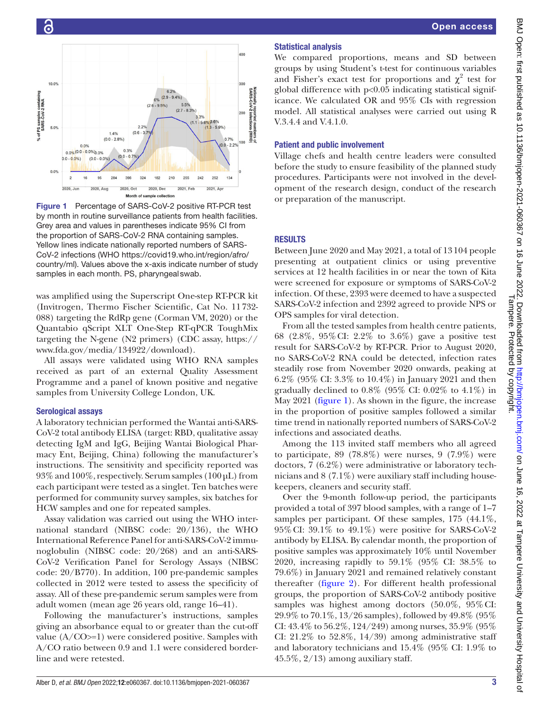

<span id="page-2-0"></span>

was amplified using the Superscript One-step RT-PCR kit (Invitrogen, Thermo Fischer Scientific, Cat No. 11732- 088) targeting the RdRp gene (Corman VM, 2020) or the Quantabio qScript XLT One-Step RT-qPCR ToughMix targeting the N-gene (N2 primers) (CDC assay, [https://](https://www.fda.gov/media/134922/download) [www.fda.gov/media/134922/download](https://www.fda.gov/media/134922/download)).

All assays were validated using WHO RNA samples received as part of an external Quality Assessment Programme and a panel of known positive and negative samples from University College London, UK.

## Serological assays

A laboratory technician performed the Wantai anti-SARS-CoV-2 total antibody ELISA (target: RBD, qualitative assay detecting IgM and IgG, Beijing Wantai Biological Pharmacy Ent, Beijing, China) following the manufacturer's instructions. The sensitivity and specificity reported was  $93\%$  and  $100\%$ , respectively. Serum samples ( $100 \mu L$ ) from each participant were tested as a singlet. Ten batches were performed for community survey samples, six batches for HCW samples and one for repeated samples.

Assay validation was carried out using the WHO international standard (NIBSC code: 20/136), the WHO International Reference Panel for anti-SARS-CoV-2 immunoglobulin (NIBSC code: 20/268) and an anti-SARS-CoV-2 Verification Panel for Serology Assays (NIBSC code: 20/B770). In addition, 100 pre-pandemic samples collected in 2012 were tested to assess the specificity of assay. All of these pre-pandemic serum samples were from adult women (mean age 26 years old, range 16–41).

Following the manufacturer's instructions, samples giving an absorbance equal to or greater than the cut-off value  $(A/CO>=1)$  were considered positive. Samples with A/CO ratio between 0.9 and 1.1 were considered borderline and were retested.

## Statistical analysis

We compared proportions, means and SD between groups by using Student's t-test for continuous variables and Fisher's exact test for proportions and  $\chi^2$  test for global difference with  $p<0.05$  indicating statistical significance. We calculated OR and 95% CIs with regression model. All statistical analyses were carried out using R V.3.4.4 and V.4.1.0.

## Patient and public involvement

Village chefs and health centre leaders were consulted before the study to ensure feasibility of the planned study procedures. Participants were not involved in the development of the research design, conduct of the research or preparation of the manuscript.

## **RESULTS**

Between June 2020 and May 2021, a total of 13104 people presenting at outpatient clinics or using preventive services at 12 health facilities in or near the town of Kita were screened for exposure or symptoms of SARS-CoV-2 infection. Of these, 2393 were deemed to have a suspected SARS-CoV-2 infection and 2392 agreed to provide NPS or OPS samples for viral detection.

From all the tested samples from health centre patients, 68 (2.8%, 95%CI: 2.2% to 3.6%) gave a positive test result for SARS-CoV-2 by RT-PCR. Prior to August 2020, no SARS-CoV-2 RNA could be detected, infection rates steadily rose from November 2020 onwards, peaking at 6.2% (95% CI: 3.3% to 10.4%) in January 2021 and then gradually declined to  $0.8\%$  (95% CI:  $0.02\%$  to  $4.1\%$ ) in May 2021 [\(figure](#page-2-0) 1). As shown in the figure, the increase in the proportion of positive samples followed a similar time trend in nationally reported numbers of SARS-CoV-2 infections and associated deaths.

Among the 113 invited staff members who all agreed to participate, 89 (78.8%) were nurses, 9 (7.9%) were doctors, 7 (6.2%) were administrative or laboratory technicians and  $8(7.1\%)$  were auxiliary staff including housekeepers, cleaners and security staff.

Over the 9-month follow-up period, the participants provided a total of 397 blood samples, with a range of 1–7 samples per participant. Of these samples, 175 (44.1%, 95%CI: 39.1% to 49.1%) were positive for SARS-CoV-2 antibody by ELISA. By calendar month, the proportion of positive samples was approximately 10% until November 2020, increasing rapidly to 59.1% (95% CI: 38.5% to 79.6%) in January 2021 and remained relatively constant thereafter [\(figure](#page-3-0) 2). For different health professional groups, the proportion of SARS-CoV-2 antibody positive samples was highest among doctors (50.0%, 95%CI: 29.9% to 70.1%, 13/26 samples), followed by 49.8% (95% CI: 43.4% to 56.2%, 124/249) among nurses, 35.9% (95% CI:  $21.2\%$  to  $52.8\%, 14/39$ ) among administrative staff and laboratory technicians and 15.4% (95% CI: 1.9% to 45.5%, 2/13) among auxiliary staff.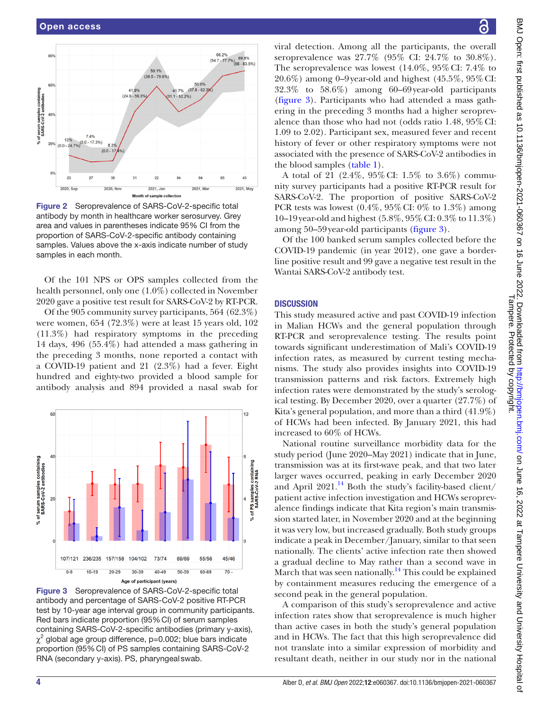

<span id="page-3-0"></span>Figure 2 Seroprevalence of SARS-CoV-2-specific total antibody by month in healthcare worker serosurvey. Grey area and values in parentheses indicate 95% CI from the proportion of SARS-CoV-2-specific antibody containing samples. Values above the x-axis indicate number of study samples in each month.

Of the 101 NPS or OPS samples collected from the health personnel, only one (1.0%) collected in November 2020 gave a positive test result for SARS-CoV-2 by RT-PCR.

Of the 905 community survey participants, 564 (62.3%) were women, 654 (72.3%) were at least 15 years old, 102 (11.3%) had respiratory symptoms in the preceding 14 days, 496 (55.4%) had attended a mass gathering in the preceding 3 months, none reported a contact with a COVID-19 patient and 21 (2.3%) had a fever. Eight hundred and eighty-two provided a blood sample for antibody analysis and 894 provided a nasal swab for



<span id="page-3-1"></span>Figure 3 Seroprevalence of SARS-CoV-2-specific total antibody and percentage of SARS-CoV-2 positive RT-PCR test by 10-year age interval group in community participants. Red bars indicate proportion (95%CI) of serum samples containing SARS-CoV-2-specific antibodies (primary y-axis),  $\chi^2$  global age group difference, p=0.002; blue bars indicate proportion (95%CI) of PS samples containing SARS-CoV-2 RNA (secondary y-axis). PS, pharyngealswab.

viral detection. Among all the participants, the overall seroprevalence was 27.7% (95% CI: 24.7% to 30.8%). The seroprevalence was lowest (14.0%, 95%CI: 7.4% to 20.6%) among 0–9year-old and highest (45.5%, 95%CI: 32.3% to 58.6%) among 60–69year-old participants [\(figure](#page-3-1) 3). Participants who had attended a mass gathering in the preceding 3 months had a higher seroprevalence than those who had not (odds ratio 1.48, 95%CI: 1.09 to 2.02). Participant sex, measured fever and recent history of fever or other respiratory symptoms were not associated with the presence of SARS-CoV-2 antibodies in the blood samples ([table](#page-4-0) 1).

A total of 21 (2.4%, 95%CI: 1.5% to 3.6%) community survey participants had a positive RT-PCR result for SARS-CoV-2. The proportion of positive SARS-CoV-2 PCR tests was lowest  $(0.4\%, 95\% \text{ CI}$ : 0% to  $1.3\%$ ) among 10–19year-old and highest (5.8%, 95%CI: 0.3% to 11.3%) among 50–59year-old participants [\(figure](#page-3-1) 3).

Of the 100 banked serum samples collected before the COVID-19 pandemic (in year 2012), one gave a borderline positive result and 99 gave a negative test result in the Wantai SARS-CoV-2 antibody test.

## **DISCUSSION**

This study measured active and past COVID-19 infection in Malian HCWs and the general population through RT-PCR and seroprevalence testing. The results point towards significant underestimation of Mali's COVID-19 infection rates, as measured by current testing mechanisms. The study also provides insights into COVID-19 transmission patterns and risk factors. Extremely high infection rates were demonstrated by the study's serological testing. By December 2020, over a quarter (27.7%) of Kita's general population, and more than a third (41.9%) of HCWs had been infected. By January 2021, this had increased to 60% of HCWs.

National routine surveillance morbidity data for the study period (June 2020–May 2021) indicate that in June, transmission was at its first-wave peak, and that two later larger waves occurred, peaking in early December 2020 and April  $2021<sup>14</sup>$  $2021<sup>14</sup>$  $2021<sup>14</sup>$  Both the study's facility-based client/ patient active infection investigation and HCWs seroprevalence findings indicate that Kita region's main transmission started later, in November 2020 and at the beginning it was very low, but increased gradually. Both study groups indicate a peak in December/January, similar to that seen nationally. The clients' active infection rate then showed a gradual decline to May rather than a second wave in March that was seen nationally.<sup>14</sup> This could be explained by containment measures reducing the emergence of a second peak in the general population.

A comparison of this study's seroprevalence and active infection rates show that seroprevalence is much higher than active cases in both the study's general population and in HCWs. The fact that this high seroprevalence did not translate into a similar expression of morbidity and resultant death, neither in our study nor in the national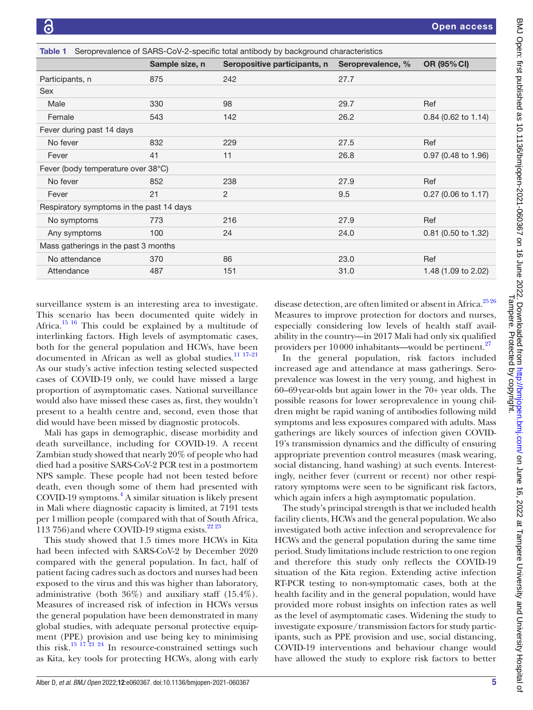<span id="page-4-0"></span>

| Seroprevalence of SARS-CoV-2-specific total antibody by background characteristics<br>Table 1 |                |                              |                   |                       |
|-----------------------------------------------------------------------------------------------|----------------|------------------------------|-------------------|-----------------------|
|                                                                                               | Sample size, n | Seropositive participants, n | Seroprevalence, % | OR (95% CI)           |
| Participants, n                                                                               | 875            | 242                          | 27.7              |                       |
| <b>Sex</b>                                                                                    |                |                              |                   |                       |
| Male                                                                                          | 330            | 98                           | 29.7              | Ref                   |
| Female                                                                                        | 543            | 142                          | 26.2              | 0.84 (0.62 to 1.14)   |
| Fever during past 14 days                                                                     |                |                              |                   |                       |
| No fever                                                                                      | 832            | 229                          | 27.5              | Ref                   |
| Fever                                                                                         | 41             | 11                           | 26.8              | 0.97 (0.48 to 1.96)   |
| Fever (body temperature over 38°C)                                                            |                |                              |                   |                       |
| No fever                                                                                      | 852            | 238                          | 27.9              | Ref                   |
| Fever                                                                                         | 21             | $\overline{2}$               | 9.5               | 0.27 (0.06 to 1.17)   |
| Respiratory symptoms in the past 14 days                                                      |                |                              |                   |                       |
| No symptoms                                                                                   | 773            | 216                          | 27.9              | Ref                   |
| Any symptoms                                                                                  | 100            | 24                           | 24.0              | $0.81$ (0.50 to 1.32) |
| Mass gatherings in the past 3 months                                                          |                |                              |                   |                       |
| No attendance                                                                                 | 370            | 86                           | 23.0              | Ref                   |
| Attendance                                                                                    | 487            | 151                          | 31.0              | 1.48 (1.09 to 2.02)   |

surveillance system is an interesting area to investigate. This scenario has been documented quite widely in Africa[.15 16](#page-6-1) This could be explained by a multitude of interlinking factors. High levels of asymptomatic cases, both for the general population and HCWs, have been documented in African as well as global studies.<sup>11 17-21</sup> As our study's active infection testing selected suspected cases of COVID-19 only, we could have missed a large proportion of asymptomatic cases. National surveillance would also have missed these cases as, first, they wouldn't present to a health centre and, second, even those that did would have been missed by diagnostic protocols.

Mali has gaps in demographic, disease morbidity and death surveillance, including for COVID-19. A recent Zambian study showed that nearly 20% of people who had died had a positive SARS-CoV-2 PCR test in a postmortem NPS sample. These people had not been tested before death, even though some of them had presented with COVID-19 symptoms.[4](#page-5-2) A similar situation is likely present in Mali where diagnostic capacity is limited, at 7191 tests per 1million people (compared with that of South Africa, 113 756) and where COVID-19 stigma exists. $222$ 

This study showed that 1.5 times more HCWs in Kita had been infected with SARS-CoV-2 by December 2020 compared with the general population. In fact, half of patient facing cadres such as doctors and nurses had been exposed to the virus and this was higher than laboratory, administrative (both 36%) and auxiliary staff (15.4%). Measures of increased risk of infection in HCWs versus the general population have been demonstrated in many global studies, with adequate personal protective equipment (PPE) provision and use being key to minimising this risk[.15 17 21 24](#page-6-1) In resource-constrained settings such as Kita, key tools for protecting HCWs, along with early

disease detection, are often limited or absent in Africa. $25\,26$ Measures to improve protection for doctors and nurses, especially considering low levels of health staff availability in the country—in 2017 Mali had only six qualified providers per 10000 inhabitants—would be pertinent.<sup>27</sup>

In the general population, risk factors included increased age and attendance at mass gatherings. Seroprevalence was lowest in the very young, and highest in 60–69year-olds but again lower in the 70+ year olds. The possible reasons for lower seroprevalence in young children might be rapid waning of antibodies following mild symptoms and less exposures compared with adults. Mass gatherings are likely sources of infection given COVID-19's transmission dynamics and the difficulty of ensuring appropriate prevention control measures (mask wearing, social distancing, hand washing) at such events. Interestingly, neither fever (current or recent) nor other respiratory symptoms were seen to be significant risk factors, which again infers a high asymptomatic population.

The study's principal strength is that we included health facility clients, HCWs and the general population. We also investigated both active infection and seroprevalence for HCWs and the general population during the same time period. Study limitations include restriction to one region and therefore this study only reflects the COVID-19 situation of the Kita region. Extending active infection RT-PCR testing to non-symptomatic cases, both at the health facility and in the general population, would have provided more robust insights on infection rates as well as the level of asymptomatic cases. Widening the study to investigate exposure/transmission factors for study participants, such as PPE provision and use, social distancing, COVID-19 interventions and behaviour change would have allowed the study to explore risk factors to better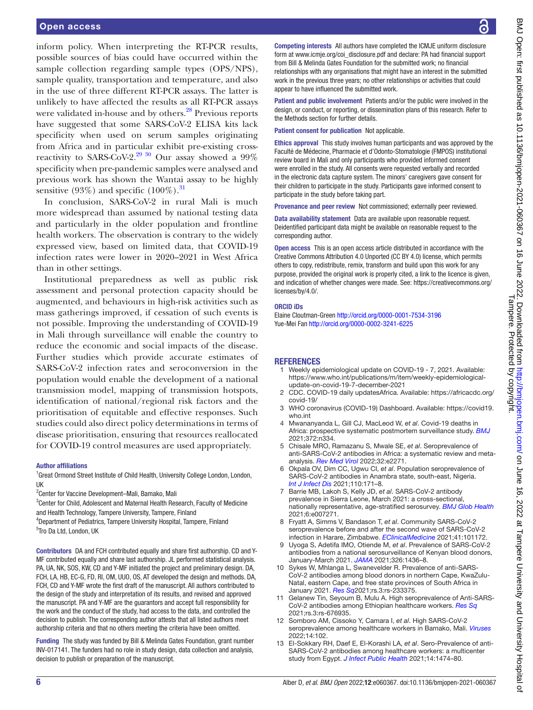## Open access

inform policy. When interpreting the RT-PCR results, possible sources of bias could have occurred within the sample collection regarding sample types (OPS/NPS), sample quality, transportation and temperature, and also in the use of three different RT-PCR assays. The latter is unlikely to have affected the results as all RT-PCR assays were validated in-house and by others.<sup>28</sup> Previous reports have suggested that some SARS-CoV-2 ELISA kits lack specificity when used on serum samples originating from Africa and in particular exhibit pre-existing crossreactivity to SARS-CoV-2.<sup>29 30</sup> Our assay showed a 99% specificity when pre-pandemic samples were analysed and previous work has shown the Wantai assay to be highly sensitive (93%) and specific  $(100\%)$ .<sup>31</sup>

In conclusion, SARS-CoV-2 in rural Mali is much more widespread than assumed by national testing data and particularly in the older population and frontline health workers. The observation is contrary to the widely expressed view, based on limited data, that COVID-19 infection rates were lower in 2020–2021 in West Africa than in other settings.

Institutional preparedness as well as public risk assessment and personal protection capacity should be augmented, and behaviours in high-risk activities such as mass gatherings improved, if cessation of such events is not possible. Improving the understanding of COVID-19 in Mali through surveillance will enable the country to reduce the economic and social impacts of the disease. Further studies which provide accurate estimates of SARS-CoV-2 infection rates and seroconversion in the population would enable the development of a national transmission model, mapping of transmission hotspots, identification of national/regional risk factors and the prioritisation of equitable and effective responses. Such studies could also direct policy determinations in terms of disease prioritisation, ensuring that resources reallocated for COVID-19 control measures are used appropriately.

#### Author affiliations

<sup>1</sup>Great Ormond Street Institute of Child Health, University College London, London, UK

<sup>2</sup>Center for Vaccine Development-Mali, Bamako, Mali

<sup>3</sup>Center for Child, Adolescent and Maternal Health Research, Faculty of Medicine and Health Technology, Tampere University, Tampere, Finland

4 Department of Pediatrics, Tampere University Hospital, Tampere, Finland <sup>5</sup>Tro Da Ltd, London, UK

Contributors DA and FCH contributed equally and share first authorship. CD and Y-MF contributed equally and share last authorship. JL performed statistical analysis. PA, UA, NK, SOS, KW, CD and Y-MF initiated the project and preliminary design. DA, FCH, LA, HB, EC-G, FD, RI, OM, UUO, OS, AT developed the design and methods. DA, FCH, CD and Y-MF wrote the first draft of the manuscript. All authors contributed to the design of the study and interpretation of its results, and revised and approved the manuscript. PA and Y-MF are the guarantors and accept full responsibility for the work and the conduct of the study, had access to the data, and controlled the decision to publish. The corresponding author attests that all listed authors meet authorship criteria and that no others meeting the criteria have been omitted.

Funding The study was funded by Bill & Melinda Gates Foundation, grant number INV-017141. The funders had no role in study design, data collection and analysis, decision to publish or preparation of the manuscript.

Competing interests All authors have completed the ICMJE uniform disclosure form at www.icmje.org/coi\_disclosure.pdf and declare: PA had financial support from Bill & Melinda Gates Foundation for the submitted work; no financial relationships with any organisations that might have an interest in the submitted work in the previous three years; no other relationships or activities that could appear to have influenced the submitted work.

Patient and public involvement Patients and/or the public were involved in the design, or conduct, or reporting, or dissemination plans of this research. Refer to the Methods section for further details.

Patient consent for publication Not applicable.

Ethics approval This study involves human participants and was approved by the Faculté de Médecine, Pharmacie et d'Odonto-Stomatologie (FMPOS) institutional review board in Mali and only participants who provided informed consent were enrolled in the study. All consents were requested verbally and recorded in the electronic data capture system. The minors' caregivers gave consent for their children to participate in the study. Participants gave informed consent to participate in the study before taking part.

Provenance and peer review Not commissioned; externally peer reviewed.

Data availability statement Data are available upon reasonable request. Deidentified participant data might be available on reasonable request to the corresponding author.

Open access This is an open access article distributed in accordance with the Creative Commons Attribution 4.0 Unported (CC BY 4.0) license, which permits others to copy, redistribute, remix, transform and build upon this work for any purpose, provided the original work is properly cited, a link to the licence is given, and indication of whether changes were made. See: [https://creativecommons.org/](https://creativecommons.org/licenses/by/4.0/) [licenses/by/4.0/](https://creativecommons.org/licenses/by/4.0/).

#### ORCID iDs

Elaine Cloutman-Green <http://orcid.org/0000-0001-7534-3196> Yue-Mei Fan<http://orcid.org/0000-0002-3241-6225>

#### **REFERENCES**

- <span id="page-5-0"></span>1 Weekly epidemiological update on COVID-19 - 7, 2021. Available: [https://www.who.int/publications/m/item/weekly-epidemiological](https://www.who.int/publications/m/item/weekly-epidemiological-update-on-covid-19-7-december-2021)[update-on-covid-19-7-december-2021](https://www.who.int/publications/m/item/weekly-epidemiological-update-on-covid-19-7-december-2021)
- <span id="page-5-1"></span>2 CDC. COVID-19 daily updatesAfrica. Available: [https://africacdc.org/](https://africacdc.org/covid-19/) [covid-19/](https://africacdc.org/covid-19/)
- 3 WHO coronavirus (COVID-19) Dashboard. Available: [https://covid19.](https://covid19.who.int) [who.int](https://covid19.who.int)
- <span id="page-5-2"></span>4 Mwananyanda L, Gill CJ, MacLeod W, *et al*. Covid-19 deaths in Africa: prospective systematic postmortem surveillance study. *[BMJ](http://dx.doi.org/10.1136/bmj.n334)* 2021;372:n334.
- <span id="page-5-3"></span>5 Chisale MRO, Ramazanu S, Mwale SE, *et al*. Seroprevalence of anti-SARS-CoV-2 antibodies in Africa: a systematic review and metaanalysis. *[Rev Med Virol](http://dx.doi.org/10.1002/rmv.2271)* 2022;32:e2271.
- 6 Okpala OV, Dim CC, Ugwu CI, *et al*. Population seroprevalence of SARS-CoV-2 antibodies in Anambra state, south-east, Nigeria. *[Int J Infect Dis](http://dx.doi.org/10.1016/j.ijid.2021.07.040)* 2021;110:171–8.
- 7 Barrie MB, Lakoh S, Kelly JD, *et al*. SARS-CoV-2 antibody prevalence in Sierra Leone, March 2021: a cross-sectional, nationally representative, age-stratified serosurvey. *[BMJ Glob Health](http://dx.doi.org/10.1136/bmjgh-2021-007271)* 2021;6:e007271.
- 8 Fryatt A, Simms V, Bandason T, *et al*. Community SARS-CoV-2 seroprevalence before and after the second wave of SARS-CoV-2 infection in Harare, Zimbabwe. *[EClinicalMedicine](http://dx.doi.org/10.1016/j.eclinm.2021.101172)* 2021;41:101172.
- 9 Uyoga S, Adetifa IMO, Otiende M, *et al*. Prevalence of SARS-CoV-2 antibodies from a national serosurveillance of Kenyan blood donors, January-March 2021. *[JAMA](http://dx.doi.org/10.1001/jama.2021.15265)* 2021;326:1436–8.
- 10 Sykes W, Mhlanga L, Swanevelder R. Prevalence of anti-SARS-CoV-2 antibodies among blood donors in northern Cape, KwaZulu-Natal, eastern Cape, and free state provinces of South Africa in January 2021. *[Res Sq](http://dx.doi.org/10.21203/rs.3.rs-233375/v1)*2021;rs.3:rs-233375.
- <span id="page-5-5"></span>11 Gelanew Tin, Seyoum B, Mulu A. High seroprevalence of Anti-SARS-CoV-2 antibodies among Ethiopian healthcare workers. *[Res Sq](http://dx.doi.org/10.2139/ssrn.3868865)* 2021;rs.3:rs-676935.
- <span id="page-5-4"></span>12 Somboro AM, Cissoko Y, Camara I, *et al*. High SARS-CoV-2 seroprevalence among healthcare workers in Bamako, Mali. *[Viruses](http://dx.doi.org/10.3390/v14010102)* 2022;14:102.
- 13 El-Sokkary RH, Daef E, El-Korashi LA, *et al*. Sero-Prevalence of anti-SARS-CoV-2 antibodies among healthcare workers: a multicenter study from Egypt. *[J Infect Public Health](http://dx.doi.org/10.1016/j.jiph.2021.09.011)* 2021;14:1474–80.